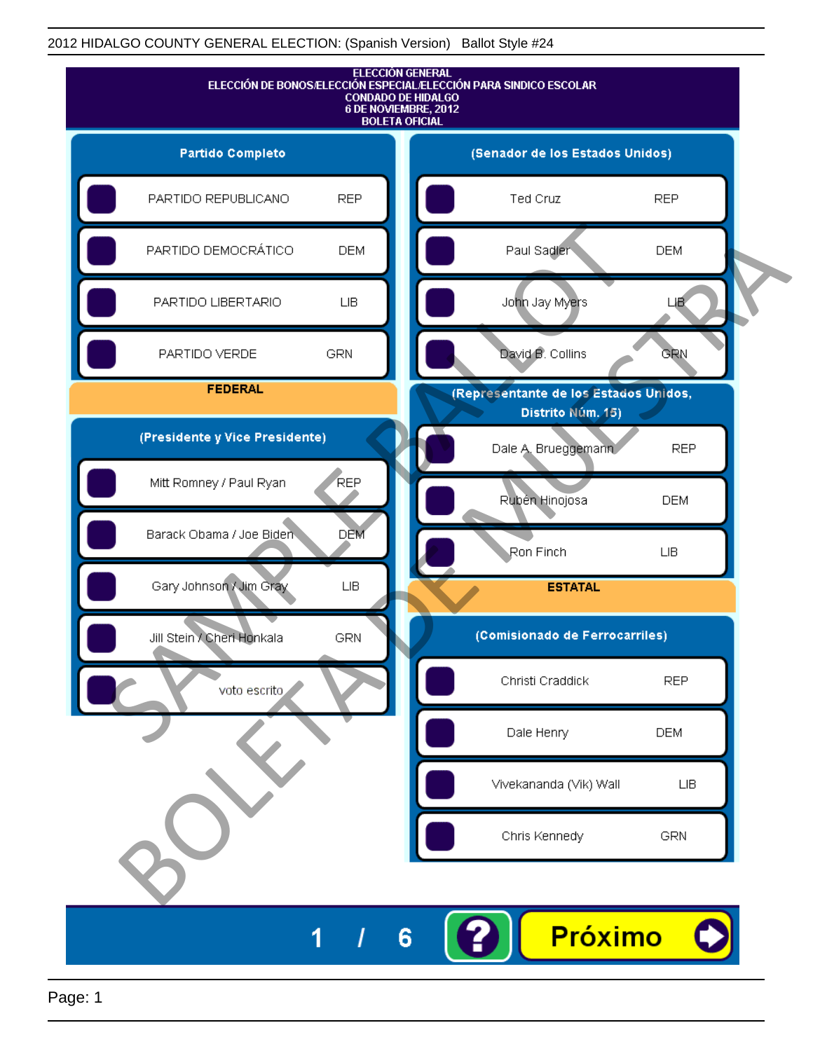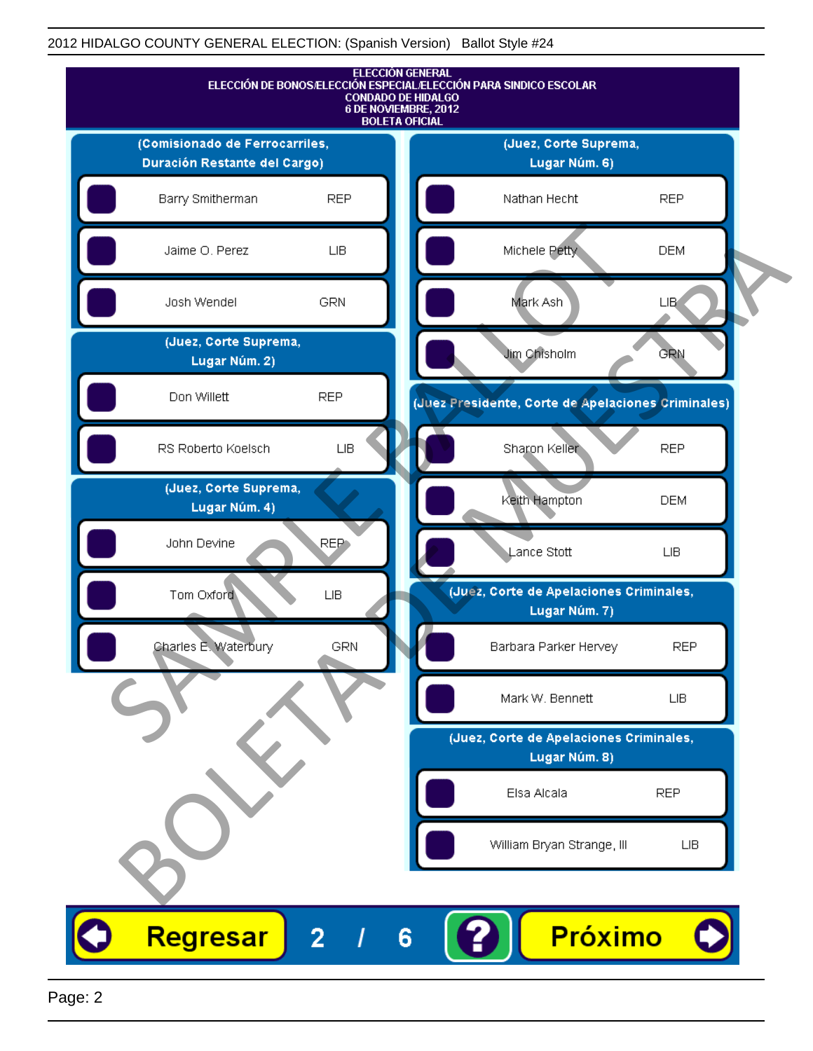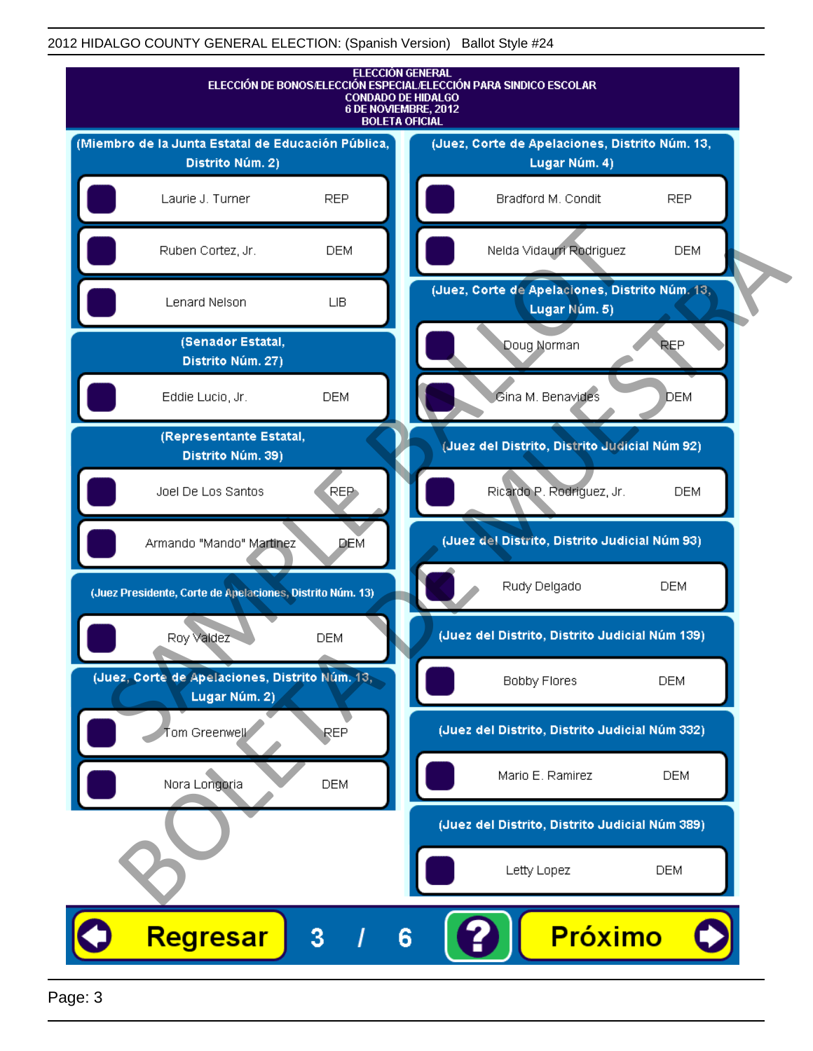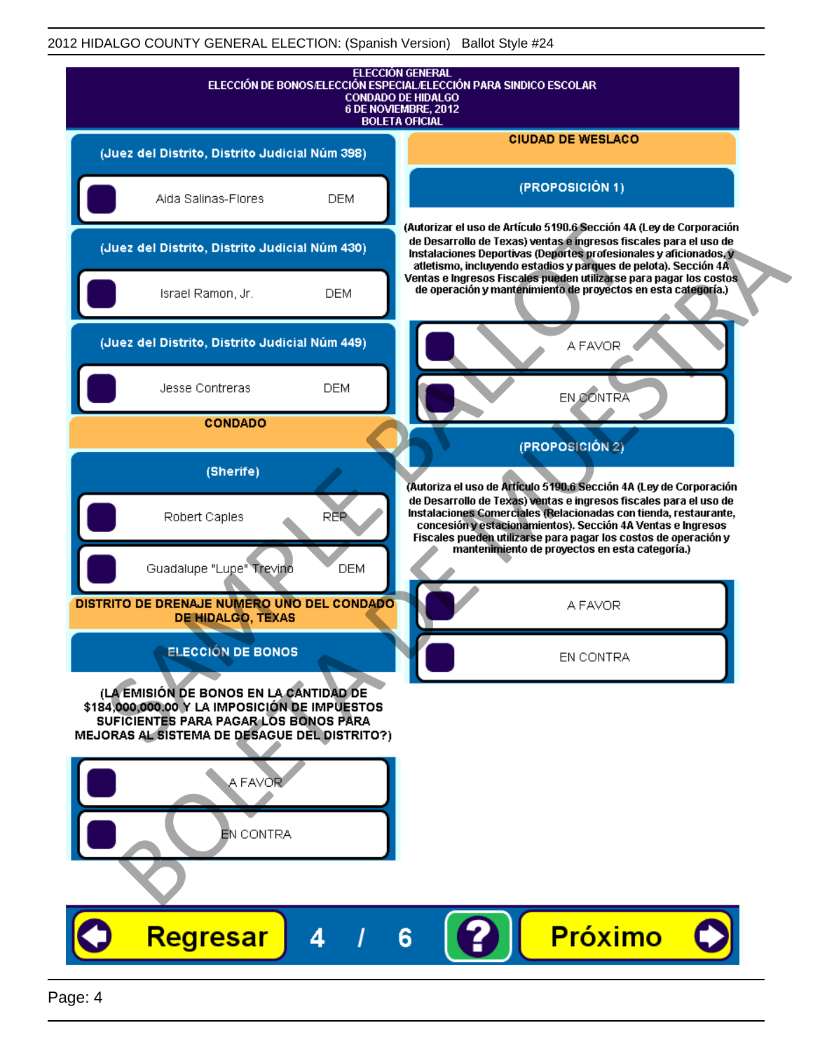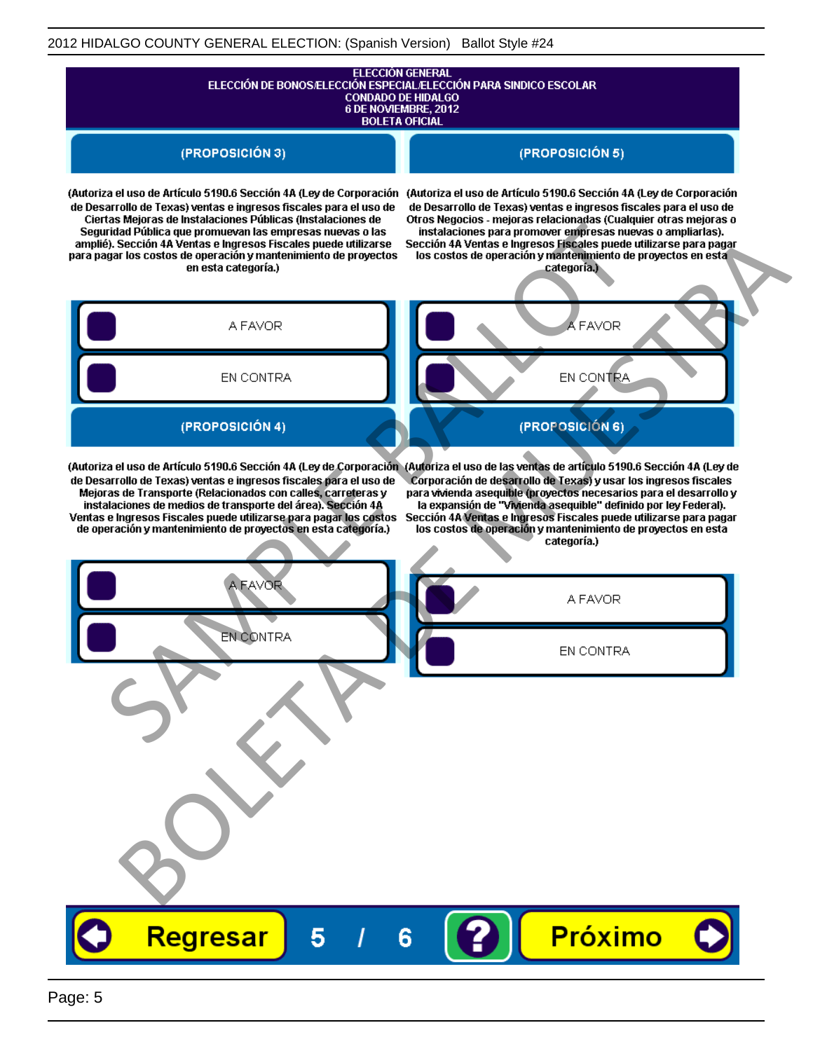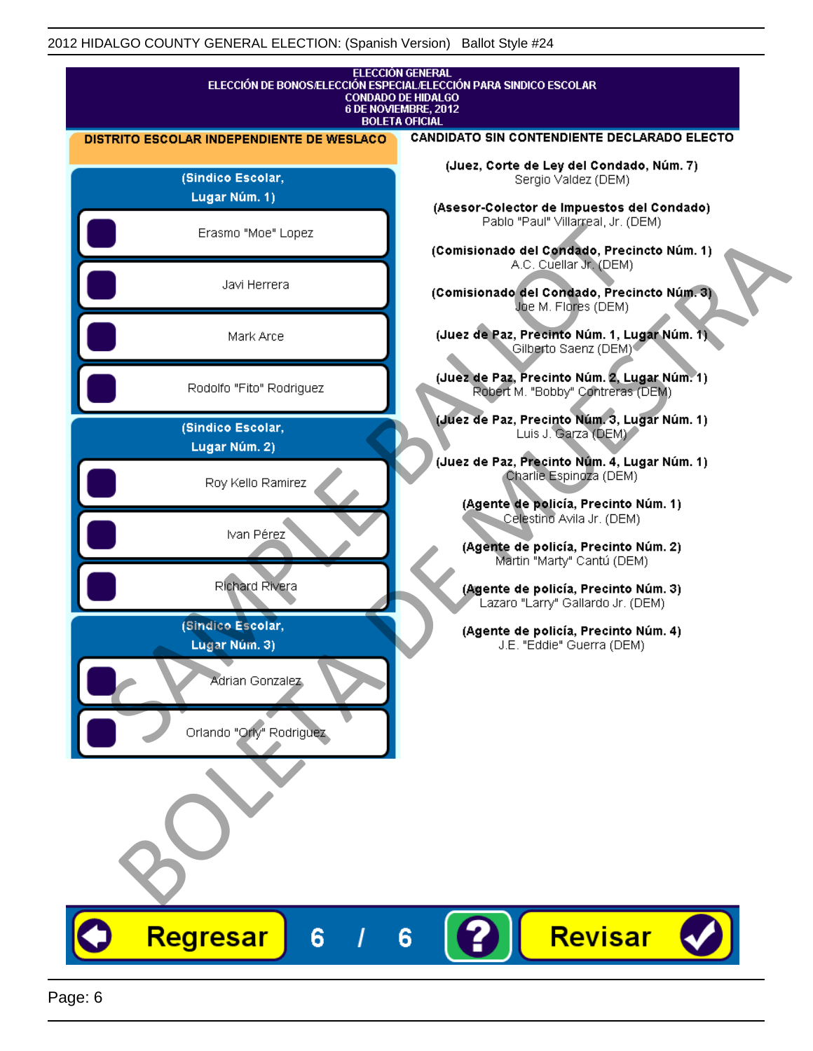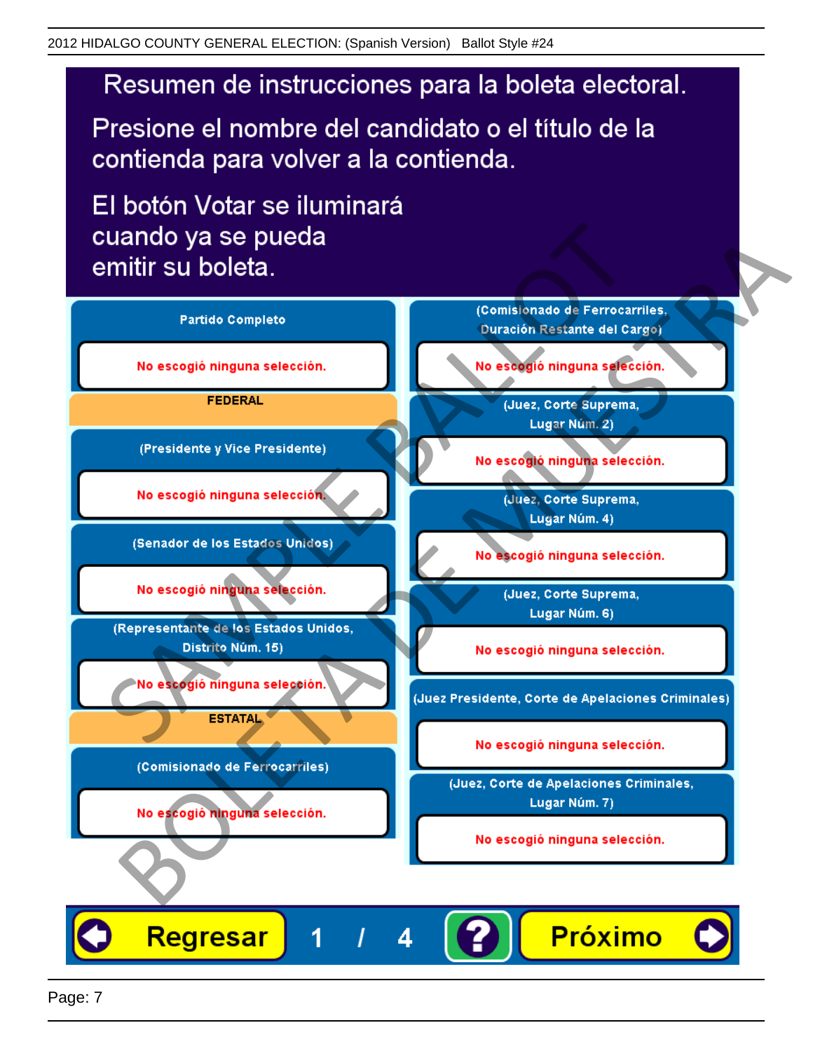Presione el nombre del candidato o el título de la contienda para volver a la contienda.

El botón Votar se iluminará

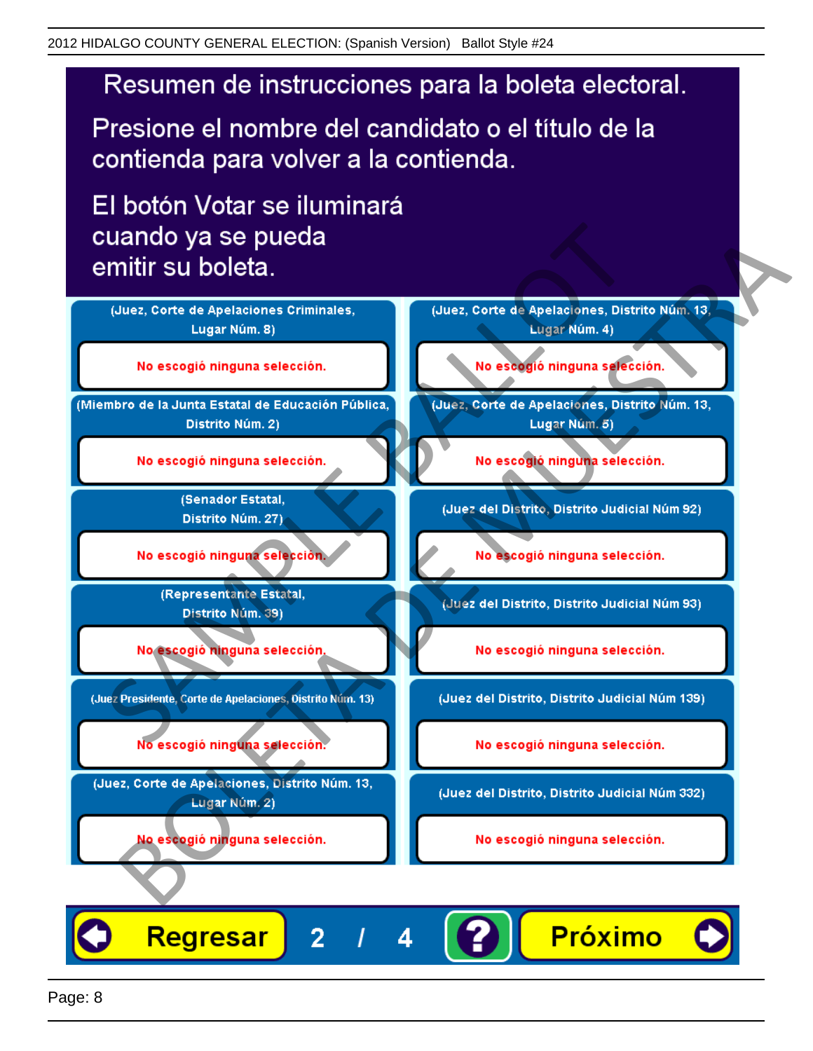Presione el nombre del candidato o el título de la contienda para volver a la contienda.

El botón Votar se iluminará



4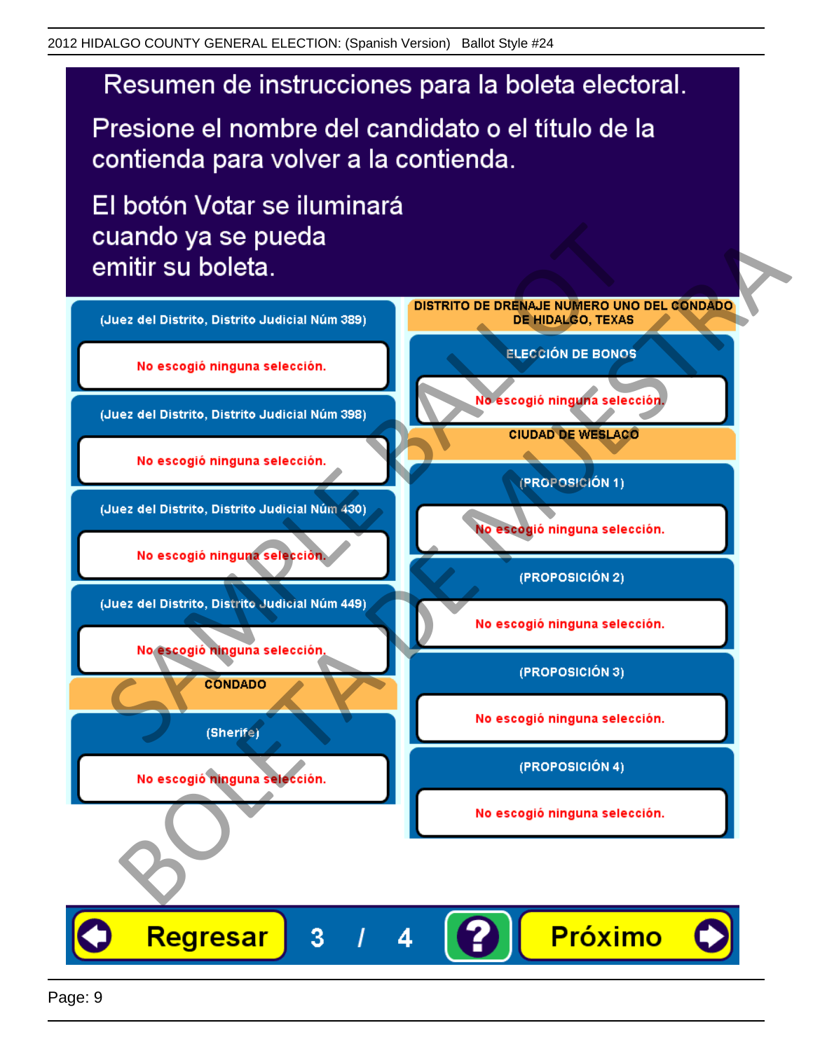Presione el nombre del candidato o el título de la contienda para volver a la contienda.

El botón Votar se iluminará